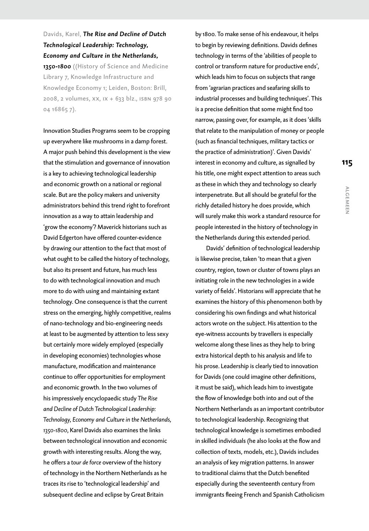Davids, Karel, *The Rise and Decline of Dutch Technological Leadership: Technology, Economy and Culture in the Netherlands, 1350-1800* ((History of Science and Medicine

Library 7, Knowledge Infrastructure and Knowledge Economy 1; Leiden, Boston: Brill, 2008, 2 volumes, xx, ix + 633 blz., isbn 978 90 04 16865 7).

Innovation Studies Programs seem to be cropping up everywhere like mushrooms in a damp forest. A major push behind this development is the view that the stimulation and governance of innovation is a key to achieving technological leadership and economic growth on a national or regional scale. But are the policy makers and university administrators behind this trend right to forefront innovation as a way to attain leadership and 'grow the economy'? Maverick historians such as David Edgerton have offered counter-evidence by drawing our attention to the fact that most of what ought to be called the history of technology, but also its present and future, has much less to do with technological innovation and much more to do with using and maintaining extant technology. One consequence is that the current stress on the emerging, highly competitive, realms of nano-technology and bio-engineering needs at least to be augmented by attention to less sexy but certainly more widely employed (especially in developing economies) technologies whose manufacture, modification and maintenance continue to offer opportunities for employment and economic growth. In the two volumes of his impressively encyclopaedic study *The Rise and Decline of Dutch Technological Leadership: Technology, Economy and Culture in the Netherlands, 1350-1800*, Karel Davids also examines the links between technological innovation and economic growth with interesting results. Along the way, he offers a *tour de force* overview of the history of technology in the Northern Netherlands as he traces its rise to 'technological leadership' and subsequent decline and eclipse by Great Britain

by 1800. To make sense of his endeavour, it helps to begin by reviewing definitions. Davids defines technology in terms of the 'abilities of people to control or transform nature for productive ends', which leads him to focus on subjects that range from 'agrarian practices and seafaring skills to industrial processes and building techniques'. This is a precise definition that some might find too narrow, passing over, for example, as it does 'skills that relate to the manipulation of money or people (such as financial techniques, military tactics or the practice of administration)'. Given Davids' interest in economy and culture, as signalled by his title, one might expect attention to areas such as these in which they and technology so clearly interpenetrate. But all should be grateful for the richly detailed history he does provide, which will surely make this work a standard resource for people interested in the history of technology in the Netherlands during this extended period.

Davids' definition of technological leadership is likewise precise, taken 'to mean that a given country, region, town or cluster of towns plays an initiating role in the new technologies in a wide variety of fields'. Historians will appreciate that he examines the history of this phenomenon both by considering his own findings and what historical actors wrote on the subject. His attention to the eye-witness accounts by travellers is especially welcome along these lines as they help to bring extra historical depth to his analysis and life to his prose. Leadership is clearly tied to innovation for Davids (one could imagine other definitions, it must be said), which leads him to investigate the flow of knowledge both into and out of the Northern Netherlands as an important contributor to technological leadership. Recognizing that technological knowledge is sometimes embodied in skilled individuals (he also looks at the flow and collection of texts, models, etc.), Davids includes an analysis of key migration patterns. In answer to traditional claims that the Dutch benefited especially during the seventeenth century from immigrants fleeing French and Spanish Catholicism algemeen

**ALGEMEEN**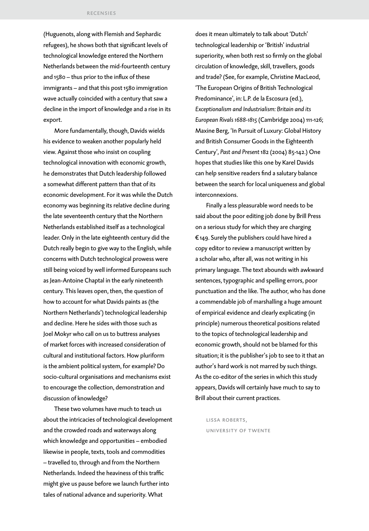(Huguenots, along with Flemish and Sephardic refugees), he shows both that significant levels of technological knowledge entered the Northern Netherlands between the mid-fourteenth century and 1580 – thus prior to the influx of these immigrants – and that this post 1580 immigration wave actually coincided with a century that saw a decline in the import of knowledge and a rise in its export.

More fundamentally, though, Davids wields his evidence to weaken another popularly held view. Against those who insist on coupling technological innovation with economic growth, he demonstrates that Dutch leadership followed a somewhat different pattern than that of its economic development. For it was while the Dutch economy was beginning its relative decline during the late seventeenth century that the Northern Netherlands established itself as a technological leader. Only in the late eighteenth century did the Dutch really begin to give way to the English, while concerns with Dutch technological prowess were still being voiced by well informed Europeans such as Jean-Antoine Chaptal in the early nineteenth century. This leaves open, then, the question of how to account for what Davids paints as (the Northern Netherlands') technological leadership and decline. Here he sides with those such as Joel Mokyr who call on us to buttress analyses of market forces with increased consideration of cultural and institutional factors. How pluriform is the ambient political system, for example? Do socio-cultural organisations and mechanisms exist to encourage the collection, demonstration and discussion of knowledge?

These two volumes have much to teach us about the intricacies of technological development and the crowded roads and waterways along which knowledge and opportunities – embodied likewise in people, texts, tools and commodities – travelled to, through and from the Northern Netherlands. Indeed the heaviness of this traffic might give us pause before we launch further into tales of national advance and superiority. What

does it mean ultimately to talk about 'Dutch' technological leadership or 'British' industrial superiority, when both rest so firmly on the global circulation of knowledge, skill, travellers, goods and trade? (See, for example, Christine MacLeod, 'The European Origins of British Technological Predominance', in: L.P. de la Escosura (ed.), *Exceptionalism and Industrialism: Britain and its European Rivals 1688-1815* (Cambridge 2004) 111-126; Maxine Berg, 'In Pursuit of Luxury: Global History and British Consumer Goods in the Eighteenth Century', *Past and Present* 182 (2004) 85-142.) One hopes that studies like this one by Karel Davids can help sensitive readers find a salutary balance between the search for local uniqueness and global interconnexions.

Finally a less pleasurable word needs to be said about the poor editing job done by Brill Press on a serious study for which they are charging € 149. Surely the publishers could have hired a copy editor to review a manuscript written by a scholar who, after all, was not writing in his primary language. The text abounds with awkward sentences, typographic and spelling errors, poor punctuation and the like. The author, who has done a commendable job of marshalling a huge amount of empirical evidence and clearly explicating (in principle) numerous theoretical positions related to the topics of technological leadership and economic growth, should not be blamed for this situation; it is the publisher's job to see to it that an author's hard work is not marred by such things. As the co-editor of the series in which this study appears, Davids will certainly have much to say to Brill about their current practices.

lissa roberts, university of twente